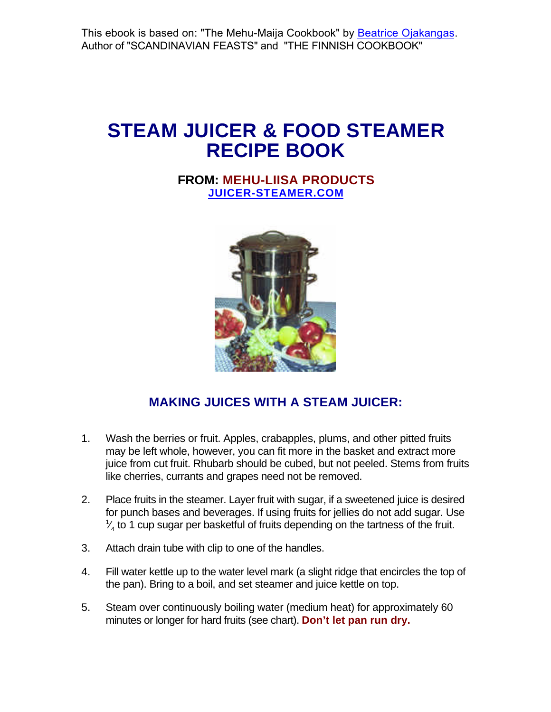This ebook is based on: "The Mehu-Maija Cookbook" by **Beatrice Ojakangas**. Author of "SCANDINAVIAN FEASTS" and "THE FINNISH COOKBOOK"

# **STEAM JUICER & FOOD STEAMER RECIPE BOOK**

## **[FROM: MEHU-LIISA PRODUCTS](http://www.juicer-steamer.com/?ebook) JUICER-STEAMER.COM**



# **MAKING JUICES WITH A STEAM JUICER:**

- 1. Wash the berries or fruit. Apples, crabapples, plums, and other pitted fruits may be left whole, however, you can fit more in the basket and extract more juice from cut fruit. Rhubarb should be cubed, but not peeled. Stems from fruits like cherries, currants and grapes need not be removed.
- 2. Place fruits in the steamer. Layer fruit with sugar, if a sweetened juice is desired for punch bases and beverages. If using fruits for jellies do not add sugar. Use 1 ⁄  $\frac{\sqrt{4}}{4}$  to 1 cup sugar per basketful of fruits depending on the tartness of the fruit.
- 3. Attach drain tube with clip to one of the handles.
- 4. Fill water kettle up to the water level mark (a slight ridge that encircles the top of the pan). Bring to a boil, and set steamer and juice kettle on top.
- 5. Steam over continuously boiling water (medium heat) for approximately 60 minutes or longer for hard fruits (see chart). **Don't let pan run dry.**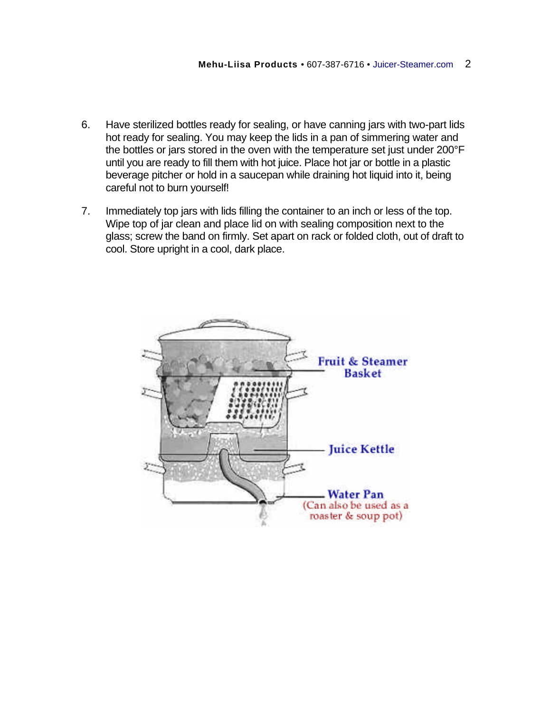- 6. Have sterilized bottles ready for sealing, or have canning jars with two-part lids hot ready for sealing. You may keep the lids in a pan of simmering water and the bottles or jars stored in the oven with the temperature set just under 200°F until you are ready to fill them with hot juice. Place hot jar or bottle in a plastic beverage pitcher or hold in a saucepan while draining hot liquid into it, being careful not to burn yourself!
- 7. Immediately top jars with lids filling the container to an inch or less of the top. Wipe top of jar clean and place lid on with sealing composition next to the glass; screw the band on firmly. Set apart on rack or folded cloth, out of draft to cool. Store upright in a cool, dark place.

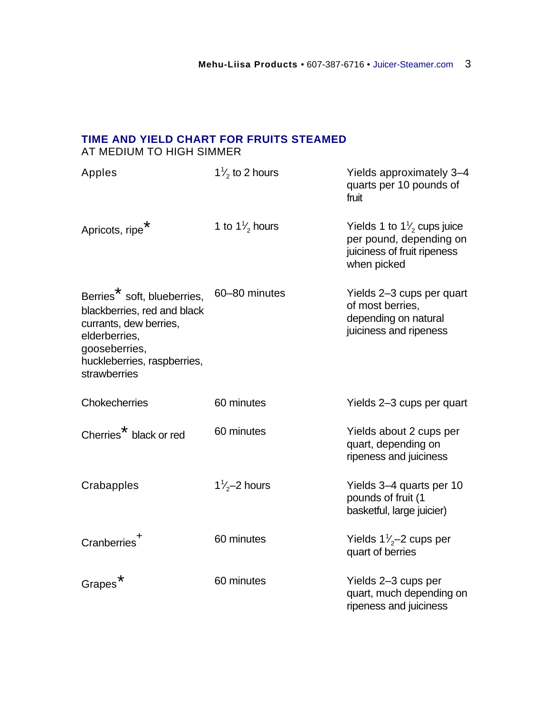## **TIME AND YIELD CHART FOR FRUITS STEAMED** AT MEDIUM TO HIGH SIMMER

| Apples                                                                                                                                                                            | $1\frac{1}{2}$ to 2 hours | Yields approximately 3-4<br>quarts per 10 pounds of<br>fruit                                                   |
|-----------------------------------------------------------------------------------------------------------------------------------------------------------------------------------|---------------------------|----------------------------------------------------------------------------------------------------------------|
| Apricots, ripe <sup>*</sup>                                                                                                                                                       | 1 to $1\frac{1}{2}$ hours | Yields 1 to $1\frac{1}{2}$ cups juice<br>per pound, depending on<br>juiciness of fruit ripeness<br>when picked |
| Berries <sup>*</sup> soft, blueberries,<br>blackberries, red and black<br>currants, dew berries,<br>elderberries,<br>gooseberries,<br>huckleberries, raspberries,<br>strawberries | 60-80 minutes             | Yields 2-3 cups per quart<br>of most berries,<br>depending on natural<br>juiciness and ripeness                |
| <b>Chokecherries</b>                                                                                                                                                              | 60 minutes                | Yields 2-3 cups per quart                                                                                      |
| Cherries <sup>*</sup> black or red                                                                                                                                                | 60 minutes                | Yields about 2 cups per<br>quart, depending on<br>ripeness and juiciness                                       |
| Crabapples                                                                                                                                                                        | $1\frac{7}{2}$ hours      | Yields 3-4 quarts per 10<br>pounds of fruit (1<br>basketful, large juicier)                                    |
| Cranberries <sup>+</sup>                                                                                                                                                          | 60 minutes                | Yields $1\frac{1}{2}$ cups per<br>quart of berries                                                             |
| <b>Grapes</b>                                                                                                                                                                     | 60 minutes                | Yields 2-3 cups per<br>quart, much depending on<br>ripeness and juiciness                                      |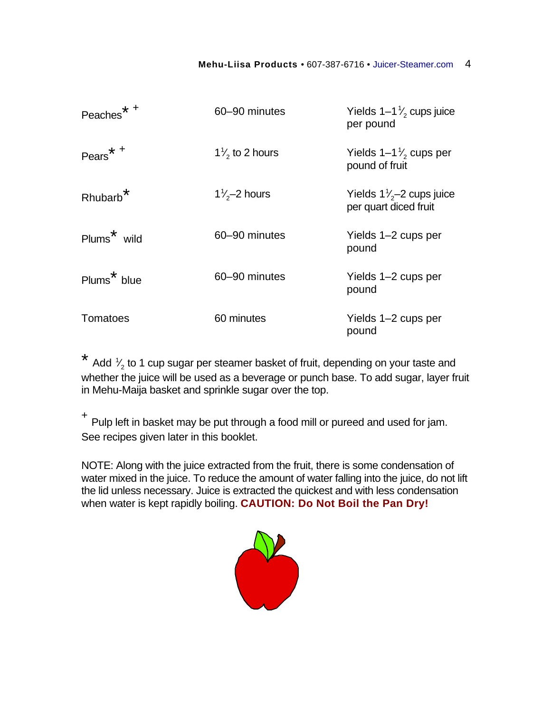| * +<br>Peaches          | 60-90 minutes             | Yields $1-1\frac{1}{2}$ cups juice<br>per pound           |
|-------------------------|---------------------------|-----------------------------------------------------------|
| Pears <sup>*+</sup>     | $1\frac{7}{2}$ to 2 hours | Yields $1-1\frac{1}{2}$ cups per<br>pound of fruit        |
| Rhubarb <sup>*</sup>    | $1\frac{7}{2}$ hours      | Yields $1\frac{7}{2}$ cups juice<br>per quart diced fruit |
| Plums <sup>*</sup> wild | 60-90 minutes             | Yields 1–2 cups per<br>pound                              |
| Plums <sup>*</sup> blue | 60-90 minutes             | Yields 1–2 cups per<br>pound                              |
| Tomatoes                | 60 minutes                | Yields 1–2 cups per<br>pound                              |

\* Add  $\frac{1}{2}$  to 1 cup sugar per steamer basket of fruit, depending on your taste and ⁄ whether the juice will be used as a beverage or punch base. To add sugar, layer fruit in Mehu-Maija basket and sprinkle sugar over the top.

+ Pulp left in basket may be put through a food mill or pureed and used for jam. See recipes given later in this booklet.

NOTE: Along with the juice extracted from the fruit, there is some condensation of water mixed in the juice. To reduce the amount of water falling into the juice, do not lift the lid unless necessary. Juice is extracted the quickest and with less condensation when water is kept rapidly boiling. **CAUTION: Do Not Boil the Pan Dry!**

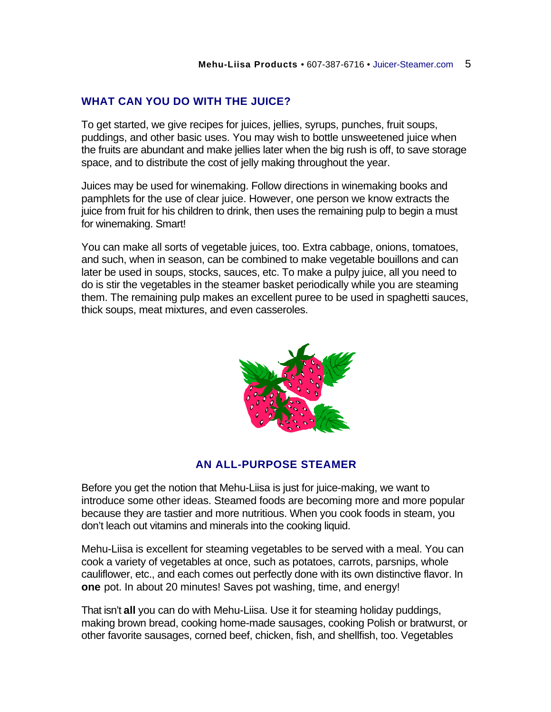#### **WHAT CAN YOU DO WITH THE JUICE?**

To get started, we give recipes for juices, jellies, syrups, punches, fruit soups, puddings, and other basic uses. You may wish to bottle unsweetened juice when the fruits are abundant and make jellies later when the big rush is off, to save storage space, and to distribute the cost of jelly making throughout the year.

Juices may be used for winemaking. Follow directions in winemaking books and pamphlets for the use of clear juice. However, one person we know extracts the juice from fruit for his children to drink, then uses the remaining pulp to begin a must for winemaking. Smart!

You can make all sorts of vegetable juices, too. Extra cabbage, onions, tomatoes, and such, when in season, can be combined to make vegetable bouillons and can later be used in soups, stocks, sauces, etc. To make a pulpy juice, all you need to do is stir the vegetables in the steamer basket periodically while you are steaming them. The remaining pulp makes an excellent puree to be used in spaghetti sauces, thick soups, meat mixtures, and even casseroles.



#### **AN ALL-PURPOSE STEAMER**

Before you get the notion that Mehu-Liisa is just for juice-making, we want to introduce some other ideas. Steamed foods are becoming more and more popular because they are tastier and more nutritious. When you cook foods in steam, you don't leach out vitamins and minerals into the cooking liquid.

Mehu-Liisa is excellent for steaming vegetables to be served with a meal. You can cook a variety of vegetables at once, such as potatoes, carrots, parsnips, whole cauliflower, etc., and each comes out perfectly done with its own distinctive flavor. In **one** pot. In about 20 minutes! Saves pot washing, time, and energy!

That isn't **all** you can do with Mehu-Liisa. Use it for steaming holiday puddings, making brown bread, cooking home-made sausages, cooking Polish or bratwurst, or other favorite sausages, corned beef, chicken, fish, and shellfish, too. Vegetables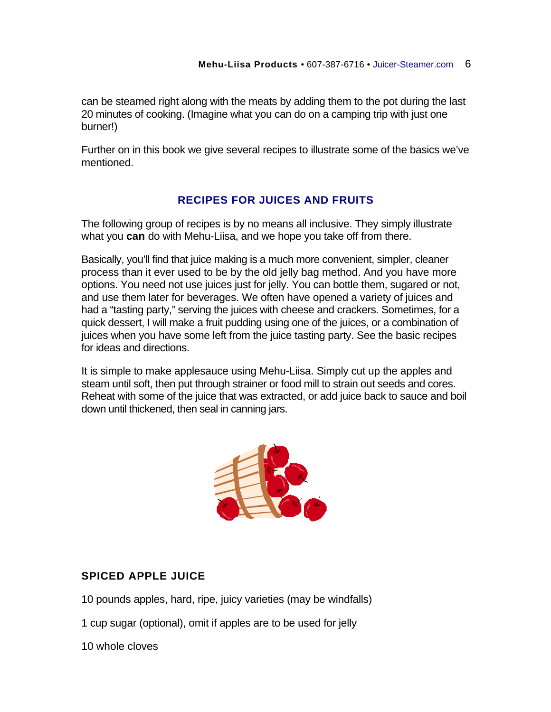can be steamed right along with the meats by adding them to the pot during the last 20 minutes of cooking. (Imagine what you can do on a camping trip with just one burner!)

Further on in this book we give several recipes to illustrate some of the basics we've mentioned.

## **RECIPES FOR JUICES AND FRUITS**

The following group of recipes is by no means all inclusive. They simply illustrate what you **can** do with Mehu-Liisa, and we hope you take off from there.

Basically, you'll find that juice making is a much more convenient, simpler, cleaner process than it ever used to be by the old jelly bag method. And you have more options. You need not use juices just for jelly. You can bottle them, sugared or not, and use them later for beverages. We often have opened a variety of juices and had a "tasting party," serving the juices with cheese and crackers. Sometimes, for a quick dessert, I will make a fruit pudding using one of the juices, or a combination of juices when you have some left from the juice tasting party. See the basic recipes for ideas and directions.

It is simple to make applesauce using Mehu-Liisa. Simply cut up the apples and steam until soft, then put through strainer or food mill to strain out seeds and cores. Reheat with some of the juice that was extracted, or add juice back to sauce and boil down until thickened, then seal in canning jars.



### **SPICED APPLE JUICE**

10 pounds apples, hard, ripe, juicy varieties (may be windfalls)

1 cup sugar (optional), omit if apples are to be used for jelly

10 whole cloves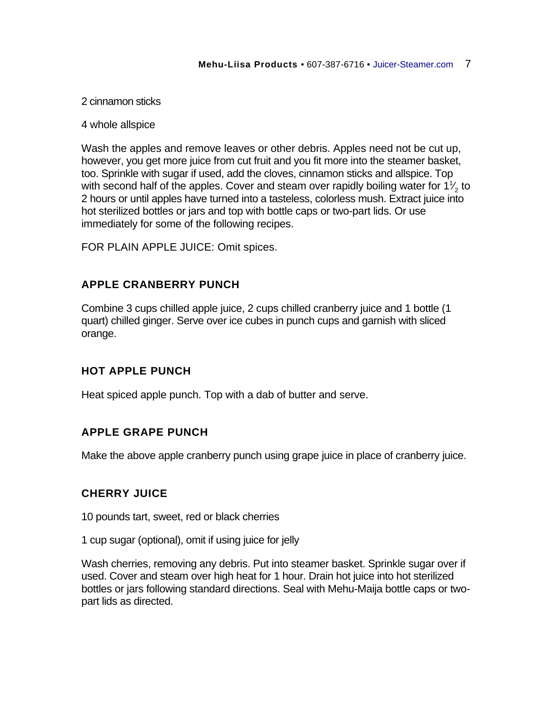#### 2 cinnamon sticks

#### 4 whole allspice

Wash the apples and remove leaves or other debris. Apples need not be cut up, however, you get more juice from cut fruit and you fit more into the steamer basket, too. Sprinkle with sugar if used, add the cloves, cinnamon sticks and allspice. Top with second half of the apples. Cover and steam over rapidly boiling water for 1 $\frac{1}{2}$  to ⁄ 2 hours or until apples have turned into a tasteless, colorless mush. Extract juice into hot sterilized bottles or jars and top with bottle caps or two-part lids. Or use immediately for some of the following recipes.

FOR PLAIN APPLE JUICE: Omit spices.

#### **APPLE CRANBERRY PUNCH**

Combine 3 cups chilled apple juice, 2 cups chilled cranberry juice and 1 bottle (1 quart) chilled ginger. Serve over ice cubes in punch cups and garnish with sliced orange.

#### **HOT APPLE PUNCH**

Heat spiced apple punch. Top with a dab of butter and serve.

### **APPLE GRAPE PUNCH**

Make the above apple cranberry punch using grape juice in place of cranberry juice.

#### **CHERRY JUICE**

10 pounds tart, sweet, red or black cherries

1 cup sugar (optional), omit if using juice for jelly

Wash cherries, removing any debris. Put into steamer basket. Sprinkle sugar over if used. Cover and steam over high heat for 1 hour. Drain hot juice into hot sterilized bottles or jars following standard directions. Seal with Mehu-Maija bottle caps or twopart lids as directed.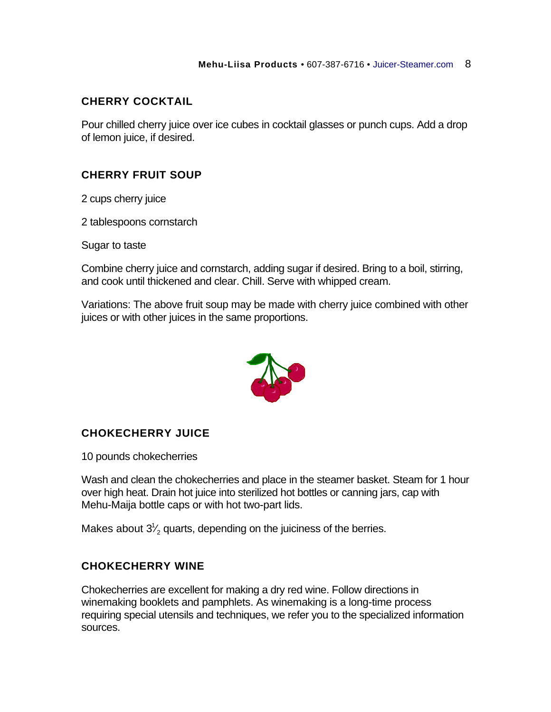## **CHERRY COCKTAIL**

Pour chilled cherry juice over ice cubes in cocktail glasses or punch cups. Add a drop of lemon juice, if desired.

## **CHERRY FRUIT SOUP**

2 cups cherry juice

2 tablespoons cornstarch

Sugar to taste

Combine cherry juice and cornstarch, adding sugar if desired. Bring to a boil, stirring, and cook until thickened and clear. Chill. Serve with whipped cream.

Variations: The above fruit soup may be made with cherry juice combined with other juices or with other juices in the same proportions.



### **CHOKECHERRY JUICE**

10 pounds chokecherries

Wash and clean the chokecherries and place in the steamer basket. Steam for 1 hour over high heat. Drain hot juice into sterilized hot bottles or canning jars, cap with Mehu-Maija bottle caps or with hot two-part lids.

Makes about  $3\frac{1}{2}$  quarts, depending on the juiciness of the berries. ⁄

### **CHOKECHERRY WINE**

Chokecherries are excellent for making a dry red wine. Follow directions in winemaking booklets and pamphlets. As winemaking is a long-time process requiring special utensils and techniques, we refer you to the specialized information sources.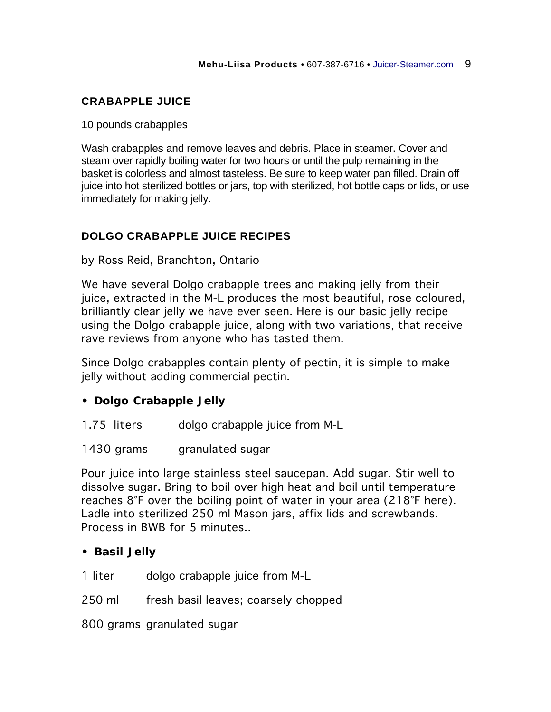## **CRABAPPLE JUICE**

10 pounds crabapples

Wash crabapples and remove leaves and debris. Place in steamer. Cover and steam over rapidly boiling water for two hours or until the pulp remaining in the basket is colorless and almost tasteless. Be sure to keep water pan filled. Drain off juice into hot sterilized bottles or jars, top with sterilized, hot bottle caps or lids, or use immediately for making jelly.

## **DOLGO CRABAPPLE JUICE RECIPES**

by Ross Reid, Branchton, Ontario

We have several Dolgo crabapple trees and making jelly from their juice, extracted in the M-L produces the most beautiful, rose coloured, brilliantly clear jelly we have ever seen. Here is our basic jelly recipe using the Dolgo crabapple juice, along with two variations, that receive rave reviews from anyone who has tasted them.

Since Dolgo crabapples contain plenty of pectin, it is simple to make jelly without adding commercial pectin.

- **Dolgo Crabapple Jelly**
- 1.75 liters dolgo crabapple juice from M-L
- 1430 grams granulated sugar

Pour juice into large stainless steel saucepan. Add sugar. Stir well to dissolve sugar. Bring to boil over high heat and boil until temperature reaches 8°F over the boiling point of water in your area (218°F here). Ladle into sterilized 250 ml Mason jars, affix lids and screwbands. Process in BWB for 5 minutes..

- **Basil Jelly**
- 1 liter dolgo crabapple juice from M-L
- 250 ml fresh basil leaves; coarsely chopped

800 grams granulated sugar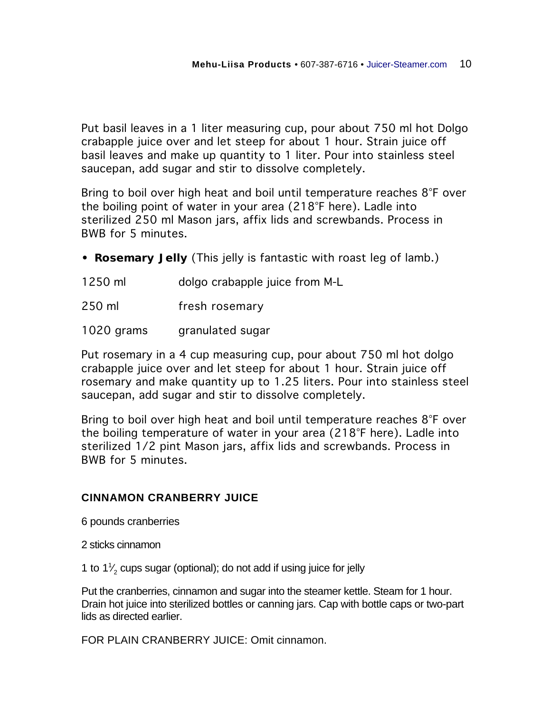Put basil leaves in a 1 liter measuring cup, pour about 750 ml hot Dolgo crabapple juice over and let steep for about 1 hour. Strain juice off basil leaves and make up quantity to 1 liter. Pour into stainless steel saucepan, add sugar and stir to dissolve completely.

Bring to boil over high heat and boil until temperature reaches 8°F over the boiling point of water in your area (218°F here). Ladle into sterilized 250 ml Mason jars, affix lids and screwbands. Process in BWB for 5 minutes.

- **Rosemary Jelly** (This jelly is fantastic with roast leg of lamb.)
- 1250 ml dolgo crabapple juice from M-L
- 250 ml fresh rosemary
- 1020 grams granulated sugar

Put rosemary in a 4 cup measuring cup, pour about 750 ml hot dolgo crabapple juice over and let steep for about 1 hour. Strain juice off rosemary and make quantity up to 1.25 liters. Pour into stainless steel saucepan, add sugar and stir to dissolve completely.

Bring to boil over high heat and boil until temperature reaches 8°F over the boiling temperature of water in your area (218°F here). Ladle into sterilized 1/2 pint Mason jars, affix lids and screwbands. Process in BWB for 5 minutes.

### **CINNAMON CRANBERRY JUICE**

6 pounds cranberries

2 sticks cinnamon

1 to  $1\frac{1}{2}$  cups sugar (optional); do not add if using juice for jelly ⁄

Put the cranberries, cinnamon and sugar into the steamer kettle. Steam for 1 hour. Drain hot juice into sterilized bottles or canning jars. Cap with bottle caps or two-part lids as directed earlier.

FOR PLAIN CRANBERRY JUICE: Omit cinnamon.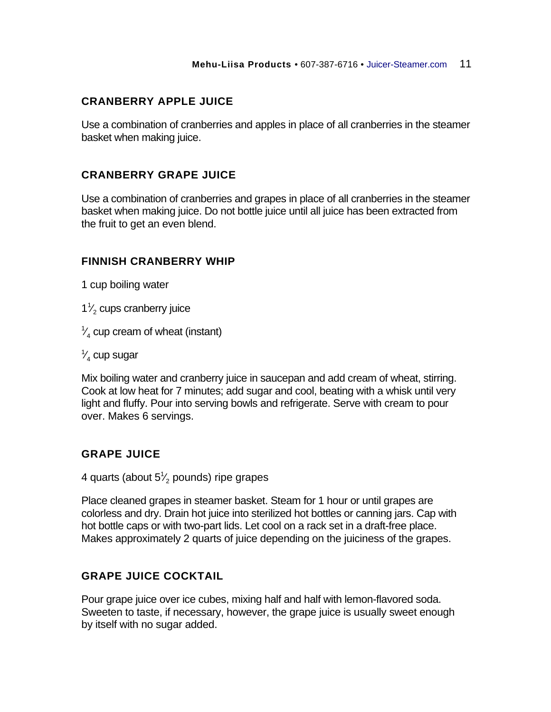## **CRANBERRY APPLE JUICE**

Use a combination of cranberries and apples in place of all cranberries in the steamer basket when making juice.

#### **CRANBERRY GRAPE JUICE**

Use a combination of cranberries and grapes in place of all cranberries in the steamer basket when making juice. Do not bottle juice until all juice has been extracted from the fruit to get an even blend.

### **FINNISH CRANBERRY WHIP**

1 cup boiling water

 $1<sup>1</sup>$ ⁄  $_2^{\prime}$  cups cranberry juice

1 ⁄  $\frac{1}{4}$  cup cream of wheat (instant)

1 ⁄  $_4^\prime$  cup sugar

Mix boiling water and cranberry juice in saucepan and add cream of wheat, stirring. Cook at low heat for 7 minutes; add sugar and cool, beating with a whisk until very light and fluffy. Pour into serving bowls and refrigerate. Serve with cream to pour over. Makes 6 servings.

### **GRAPE JUICE**

4 quarts (about 5 $\frac{1}{2}$  pounds) ripe grapes ⁄

Place cleaned grapes in steamer basket. Steam for 1 hour or until grapes are colorless and dry. Drain hot juice into sterilized hot bottles or canning jars. Cap with hot bottle caps or with two-part lids. Let cool on a rack set in a draft-free place. Makes approximately 2 quarts of juice depending on the juiciness of the grapes.

### **GRAPE JUICE COCKTAIL**

Pour grape juice over ice cubes, mixing half and half with lemon-flavored soda. Sweeten to taste, if necessary, however, the grape juice is usually sweet enough by itself with no sugar added.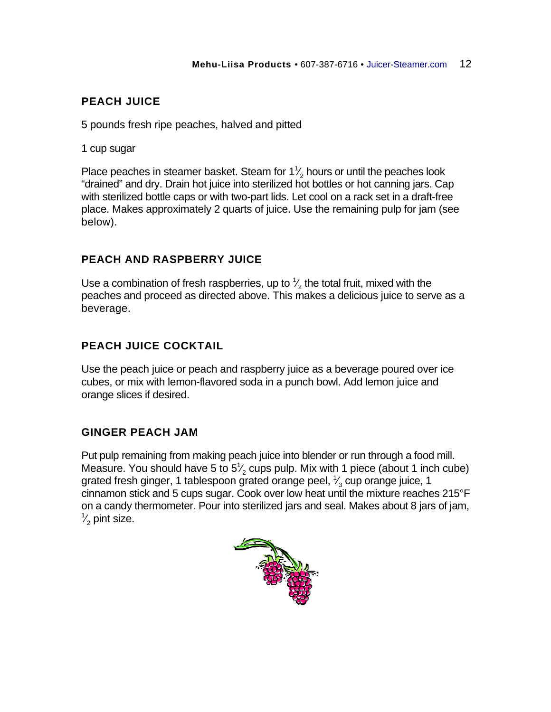# **PEACH JUICE**

5 pounds fresh ripe peaches, halved and pitted

1 cup sugar

Place peaches in steamer basket. Steam for  $1\frac{1}{2}$  hours or until the peaches look ⁄ "drained" and dry. Drain hot juice into sterilized hot bottles or hot canning jars. Cap with sterilized bottle caps or with two-part lids. Let cool on a rack set in a draft-free place. Makes approximately 2 quarts of juice. Use the remaining pulp for jam (see below).

## **PEACH AND RASPBERRY JUICE**

Use a combination of fresh raspberries, up to  $\frac{1}{2}$  the total fruit, mixed with the ⁄ peaches and proceed as directed above. This makes a delicious juice to serve as a beverage.

# **PEACH JUICE COCKTAIL**

Use the peach juice or peach and raspberry juice as a beverage poured over ice cubes, or mix with lemon-flavored soda in a punch bowl. Add lemon juice and orange slices if desired.

## **GINGER PEACH JAM**

Put pulp remaining from making peach juice into blender or run through a food mill. Measure. You should have 5 to  $5\frac{1}{2}$  cups pulp. Mix with 1 piece (about 1 inch cube) ⁄ grated fresh ginger, 1 tablespoon grated orange peel,  $\frac{1}{3}$  cup orange juice, 1 ⁄ cinnamon stick and 5 cups sugar. Cook over low heat until the mixture reaches 215°F on a candy thermometer. Pour into sterilized jars and seal. Makes about 8 jars of jam, 1 ⁄  $\frac{1}{2}$  pint size.

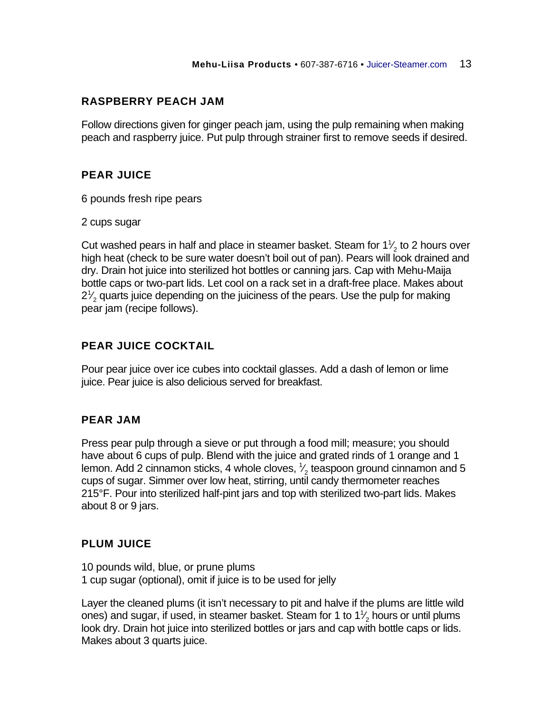## **RASPBERRY PEACH JAM**

Follow directions given for ginger peach jam, using the pulp remaining when making peach and raspberry juice. Put pulp through strainer first to remove seeds if desired.

## **PEAR JUICE**

6 pounds fresh ripe pears

2 cups sugar

Cut washed pears in half and place in steamer basket. Steam for 1 $\frac{1}{2}$  to 2 hours over ⁄ high heat (check to be sure water doesn't boil out of pan). Pears will look drained and dry. Drain hot juice into sterilized hot bottles or canning jars. Cap with Mehu-Maija bottle caps or two-part lids. Let cool on a rack set in a draft-free place. Makes about  $2<sup>1</sup>$ ⁄  $_2^\prime$  quarts juice depending on the juiciness of the pears. Use the pulp for making pear jam (recipe follows).

# **PEAR JUICE COCKTAIL**

Pour pear juice over ice cubes into cocktail glasses. Add a dash of lemon or lime juice. Pear juice is also delicious served for breakfast.

## **PEAR JAM**

Press pear pulp through a sieve or put through a food mill; measure; you should have about 6 cups of pulp. Blend with the juice and grated rinds of 1 orange and 1 lemon. Add 2 cinnamon sticks, 4 whole cloves,  $\frac{1}{2}$  teaspoon ground cinnamon and 5 ⁄ cups of sugar. Simmer over low heat, stirring, until candy thermometer reaches 215°F. Pour into sterilized half-pint jars and top with sterilized two-part lids. Makes about 8 or 9 jars.

## **PLUM JUICE**

10 pounds wild, blue, or prune plums 1 cup sugar (optional), omit if juice is to be used for jelly

Layer the cleaned plums (it isn't necessary to pit and halve if the plums are little wild ones) and sugar, if used, in steamer basket. Steam for 1 to 1 $\frac{1}{2}$  hours or until plums ⁄ look dry. Drain hot juice into sterilized bottles or jars and cap with bottle caps or lids. Makes about 3 quarts juice.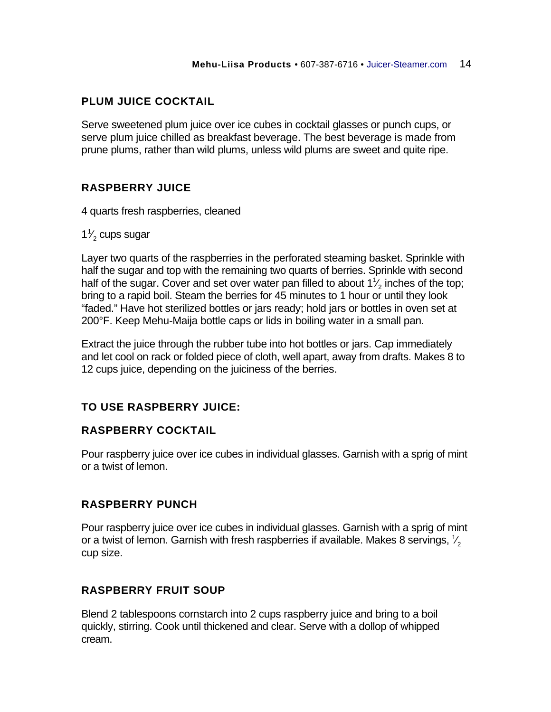# **PLUM JUICE COCKTAIL**

Serve sweetened plum juice over ice cubes in cocktail glasses or punch cups, or serve plum juice chilled as breakfast beverage. The best beverage is made from prune plums, rather than wild plums, unless wild plums are sweet and quite ripe.

# **RASPBERRY JUICE**

4 quarts fresh raspberries, cleaned

 $1<sup>1</sup>$ ⁄  $\frac{\prime}{2}$  cups sugar

Layer two quarts of the raspberries in the perforated steaming basket. Sprinkle with half the sugar and top with the remaining two quarts of berries. Sprinkle with second half of the sugar. Cover and set over water pan filled to about 1 $\frac{1}{2}$  inches of the top; ⁄ bring to a rapid boil. Steam the berries for 45 minutes to 1 hour or until they look "faded." Have hot sterilized bottles or jars ready; hold jars or bottles in oven set at 200°F. Keep Mehu-Maija bottle caps or lids in boiling water in a small pan.

Extract the juice through the rubber tube into hot bottles or jars. Cap immediately and let cool on rack or folded piece of cloth, well apart, away from drafts. Makes 8 to 12 cups juice, depending on the juiciness of the berries.

## **TO USE RASPBERRY JUICE:**

### **RASPBERRY COCKTAIL**

Pour raspberry juice over ice cubes in individual glasses. Garnish with a sprig of mint or a twist of lemon.

### **RASPBERRY PUNCH**

Pour raspberry juice over ice cubes in individual glasses. Garnish with a sprig of mint or a twist of lemon. Garnish with fresh raspberries if available. Makes 8 servings,  $\frac{1}{2}$ ⁄ cup size.

### **RASPBERRY FRUIT SOUP**

Blend 2 tablespoons cornstarch into 2 cups raspberry juice and bring to a boil quickly, stirring. Cook until thickened and clear. Serve with a dollop of whipped cream.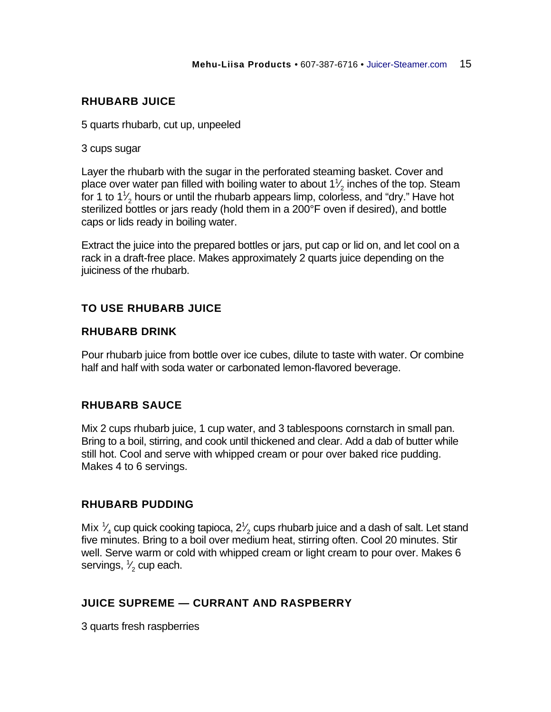## **RHUBARB JUICE**

5 quarts rhubarb, cut up, unpeeled

#### 3 cups sugar

Layer the rhubarb with the sugar in the perforated steaming basket. Cover and place over water pan filled with boiling water to about 1 $\frac{1}{2}$  inches of the top. Steam ⁄ for 1 to 1 $\frac{1}{2}$  hours or until the rhubarb appears limp, colorless, and "dry." Have hot ⁄ sterilized bottles or jars ready (hold them in a 200°F oven if desired), and bottle caps or lids ready in boiling water.

Extract the juice into the prepared bottles or jars, put cap or lid on, and let cool on a rack in a draft-free place. Makes approximately 2 quarts juice depending on the juiciness of the rhubarb.

## **TO USE RHUBARB JUICE**

#### **RHUBARB DRINK**

Pour rhubarb juice from bottle over ice cubes, dilute to taste with water. Or combine half and half with soda water or carbonated lemon-flavored beverage.

### **RHUBARB SAUCE**

Mix 2 cups rhubarb juice, 1 cup water, and 3 tablespoons cornstarch in small pan. Bring to a boil, stirring, and cook until thickened and clear. Add a dab of butter while still hot. Cool and serve with whipped cream or pour over baked rice pudding. Makes 4 to 6 servings.

#### **RHUBARB PUDDING**

Mix  $\frac{1}{4}$  cup quick cooking tapioca, 2 $\frac{1}{2}$  cups rhubarb juice and a dash of salt. Let stand ⁄ ⁄ five minutes. Bring to a boil over medium heat, stirring often. Cool 20 minutes. Stir well. Serve warm or cold with whipped cream or light cream to pour over. Makes 6 servings,  $\frac{1}{2}$  cup each. ⁄

## **JUICE SUPREME — CURRANT AND RASPBERRY**

3 quarts fresh raspberries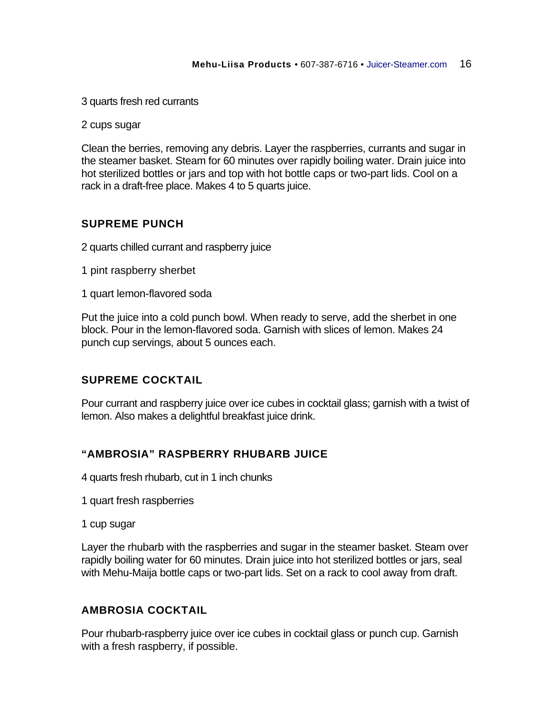3 quarts fresh red currants

2 cups sugar

Clean the berries, removing any debris. Layer the raspberries, currants and sugar in the steamer basket. Steam for 60 minutes over rapidly boiling water. Drain juice into hot sterilized bottles or jars and top with hot bottle caps or two-part lids. Cool on a rack in a draft-free place. Makes 4 to 5 quarts juice.

#### **SUPREME PUNCH**

2 quarts chilled currant and raspberry juice

- 1 pint raspberry sherbet
- 1 quart lemon-flavored soda

Put the juice into a cold punch bowl. When ready to serve, add the sherbet in one block. Pour in the lemon-flavored soda. Garnish with slices of lemon. Makes 24 punch cup servings, about 5 ounces each.

### **SUPREME COCKTAIL**

Pour currant and raspberry juice over ice cubes in cocktail glass; garnish with a twist of lemon. Also makes a delightful breakfast juice drink.

### **"AMBROSIA" RASPBERRY RHUBARB JUICE**

4 quarts fresh rhubarb, cut in 1 inch chunks

1 quart fresh raspberries

1 cup sugar

Layer the rhubarb with the raspberries and sugar in the steamer basket. Steam over rapidly boiling water for 60 minutes. Drain juice into hot sterilized bottles or jars, seal with Mehu-Maija bottle caps or two-part lids. Set on a rack to cool away from draft.

#### **AMBROSIA COCKTAIL**

Pour rhubarb-raspberry juice over ice cubes in cocktail glass or punch cup. Garnish with a fresh raspberry, if possible.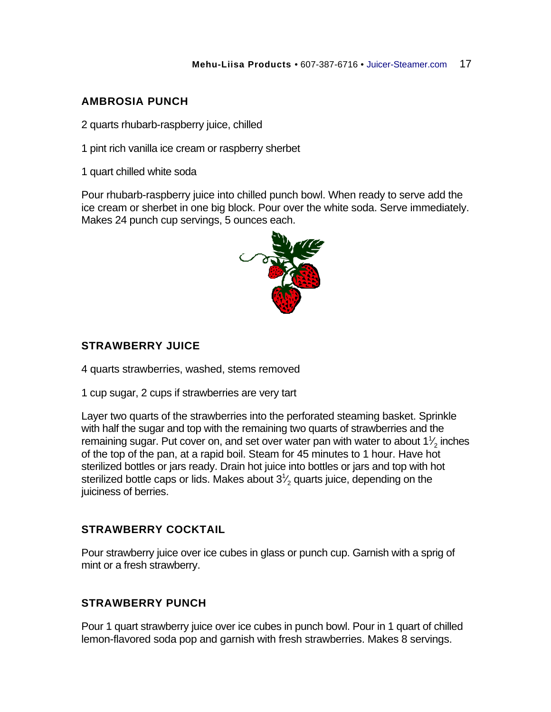# **AMBROSIA PUNCH**

2 quarts rhubarb-raspberry juice, chilled

1 pint rich vanilla ice cream or raspberry sherbet

1 quart chilled white soda

Pour rhubarb-raspberry juice into chilled punch bowl. When ready to serve add the ice cream or sherbet in one big block. Pour over the white soda. Serve immediately. Makes 24 punch cup servings, 5 ounces each.



# **STRAWBERRY JUICE**

4 quarts strawberries, washed, stems removed

1 cup sugar, 2 cups if strawberries are very tart

Layer two quarts of the strawberries into the perforated steaming basket. Sprinkle with half the sugar and top with the remaining two quarts of strawberries and the remaining sugar. Put cover on, and set over water pan with water to about 1 $\frac{1}{2}$  inches ⁄ of the top of the pan, at a rapid boil. Steam for 45 minutes to 1 hour. Have hot sterilized bottles or jars ready. Drain hot juice into bottles or jars and top with hot sterilized bottle caps or lids. Makes about 3 $\frac{1}{2}$  quarts juice, depending on the ⁄ juiciness of berries.

## **STRAWBERRY COCKTAIL**

Pour strawberry juice over ice cubes in glass or punch cup. Garnish with a sprig of mint or a fresh strawberry.

## **STRAWBERRY PUNCH**

Pour 1 quart strawberry juice over ice cubes in punch bowl. Pour in 1 quart of chilled lemon-flavored soda pop and garnish with fresh strawberries. Makes 8 servings.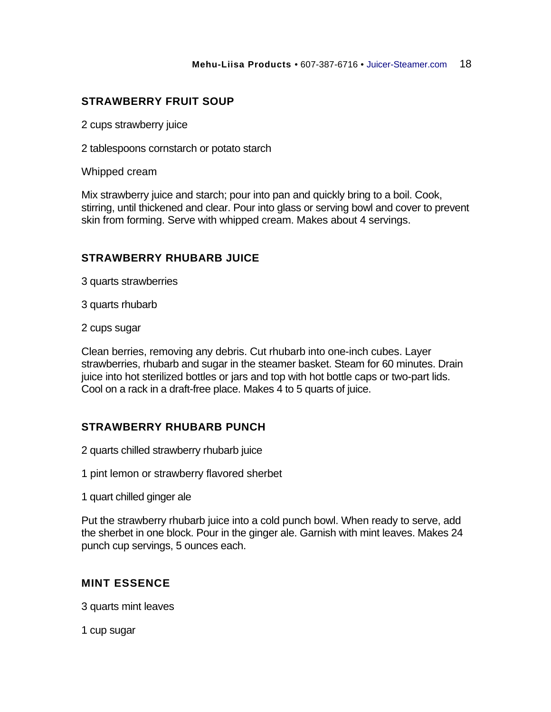## **STRAWBERRY FRUIT SOUP**

2 cups strawberry juice

2 tablespoons cornstarch or potato starch

Whipped cream

Mix strawberry juice and starch; pour into pan and quickly bring to a boil. Cook, stirring, until thickened and clear. Pour into glass or serving bowl and cover to prevent skin from forming. Serve with whipped cream. Makes about 4 servings.

### **STRAWBERRY RHUBARB JUICE**

3 quarts strawberries

3 quarts rhubarb

2 cups sugar

Clean berries, removing any debris. Cut rhubarb into one-inch cubes. Layer strawberries, rhubarb and sugar in the steamer basket. Steam for 60 minutes. Drain juice into hot sterilized bottles or jars and top with hot bottle caps or two-part lids. Cool on a rack in a draft-free place. Makes 4 to 5 quarts of juice.

### **STRAWBERRY RHUBARB PUNCH**

2 quarts chilled strawberry rhubarb juice

1 pint lemon or strawberry flavored sherbet

1 quart chilled ginger ale

Put the strawberry rhubarb juice into a cold punch bowl. When ready to serve, add the sherbet in one block. Pour in the ginger ale. Garnish with mint leaves. Makes 24 punch cup servings, 5 ounces each.

### **MINT ESSENCE**

3 quarts mint leaves

1 cup sugar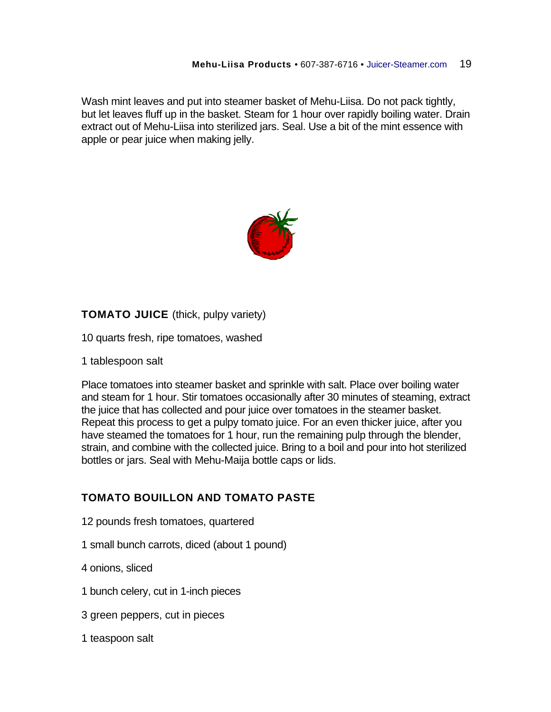Wash mint leaves and put into steamer basket of Mehu-Liisa. Do not pack tightly, but let leaves fluff up in the basket. Steam for 1 hour over rapidly boiling water. Drain extract out of Mehu-Liisa into sterilized jars. Seal. Use a bit of the mint essence with apple or pear juice when making jelly.



**TOMATO JUICE** (thick, pulpy variety)

10 quarts fresh, ripe tomatoes, washed

1 tablespoon salt

Place tomatoes into steamer basket and sprinkle with salt. Place over boiling water and steam for 1 hour. Stir tomatoes occasionally after 30 minutes of steaming, extract the juice that has collected and pour juice over tomatoes in the steamer basket. Repeat this process to get a pulpy tomato juice. For an even thicker juice, after you have steamed the tomatoes for 1 hour, run the remaining pulp through the blender, strain, and combine with the collected juice. Bring to a boil and pour into hot sterilized bottles or jars. Seal with Mehu-Maija bottle caps or lids.

## **TOMATO BOUILLON AND TOMATO PASTE**

- 12 pounds fresh tomatoes, quartered
- 1 small bunch carrots, diced (about 1 pound)
- 4 onions, sliced
- 1 bunch celery, cut in 1-inch pieces
- 3 green peppers, cut in pieces
- 1 teaspoon salt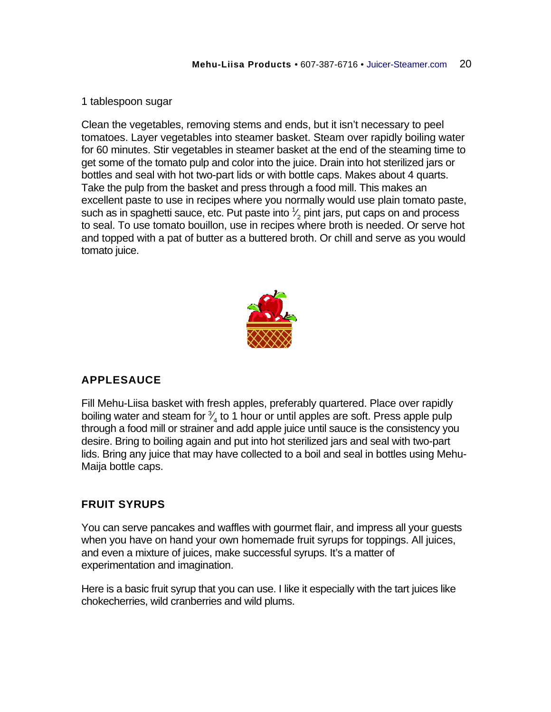#### 1 tablespoon sugar

Clean the vegetables, removing stems and ends, but it isn't necessary to peel tomatoes. Layer vegetables into steamer basket. Steam over rapidly boiling water for 60 minutes. Stir vegetables in steamer basket at the end of the steaming time to get some of the tomato pulp and color into the juice. Drain into hot sterilized jars or bottles and seal with hot two-part lids or with bottle caps. Makes about 4 quarts. Take the pulp from the basket and press through a food mill. This makes an excellent paste to use in recipes where you normally would use plain tomato paste, such as in spaghetti sauce, etc. Put paste into  $\frac{1}{2}$  pint jars, put caps on and process ⁄ to seal. To use tomato bouillon, use in recipes where broth is needed. Or serve hot and topped with a pat of butter as a buttered broth. Or chill and serve as you would tomato juice.



## **APPLESAUCE**

Fill Mehu-Liisa basket with fresh apples, preferably quartered. Place over rapidly boiling water and steam for  $\frac{3}{4}$  to 1 hour or until apples are soft. Press apple pulp ⁄ through a food mill or strainer and add apple juice until sauce is the consistency you desire. Bring to boiling again and put into hot sterilized jars and seal with two-part lids. Bring any juice that may have collected to a boil and seal in bottles using Mehu-Maija bottle caps.

### **FRUIT SYRUPS**

You can serve pancakes and waffles with gourmet flair, and impress all your guests when you have on hand your own homemade fruit syrups for toppings. All juices, and even a mixture of juices, make successful syrups. It's a matter of experimentation and imagination.

Here is a basic fruit syrup that you can use. I like it especially with the tart juices like chokecherries, wild cranberries and wild plums.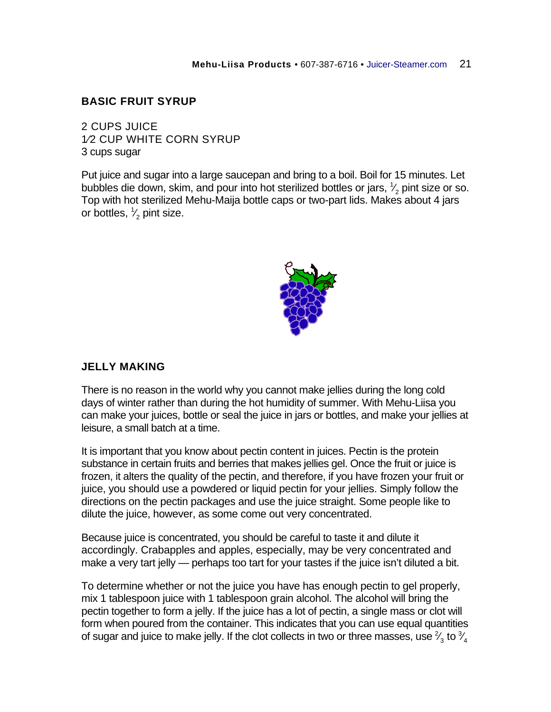#### **BASIC FRUIT SYRUP**

2 CUPS JUICE 1⁄2 CUP WHITE CORN SYRUP 3 cups sugar

Put juice and sugar into a large saucepan and bring to a boil. Boil for 15 minutes. Let bubbles die down, skim, and pour into hot sterilized bottles or jars,  $\frac{1}{2}$  pint size or so. ⁄ Top with hot sterilized Mehu-Maija bottle caps or two-part lids. Makes about 4 jars or bottles,  $\frac{1}{2}$  pint size. ⁄



#### **JELLY MAKING**

There is no reason in the world why you cannot make jellies during the long cold days of winter rather than during the hot humidity of summer. With Mehu-Liisa you can make your juices, bottle or seal the juice in jars or bottles, and make your jellies at leisure, a small batch at a time.

It is important that you know about pectin content in juices. Pectin is the protein substance in certain fruits and berries that makes jellies gel. Once the fruit or juice is frozen, it alters the quality of the pectin, and therefore, if you have frozen your fruit or juice, you should use a powdered or liquid pectin for your jellies. Simply follow the directions on the pectin packages and use the juice straight. Some people like to dilute the juice, however, as some come out very concentrated.

Because juice is concentrated, you should be careful to taste it and dilute it accordingly. Crabapples and apples, especially, may be very concentrated and make a very tart jelly — perhaps too tart for your tastes if the juice isn't diluted a bit.

To determine whether or not the juice you have has enough pectin to gel properly, mix 1 tablespoon juice with 1 tablespoon grain alcohol. The alcohol will bring the pectin together to form a jelly. If the juice has a lot of pectin, a single mass or clot will form when poured from the container. This indicates that you can use equal quantities of sugar and juice to make jelly. If the clot collects in two or three masses, use  $\frac{2}{3}$  to  $\frac{3}{4}$ ⁄ ⁄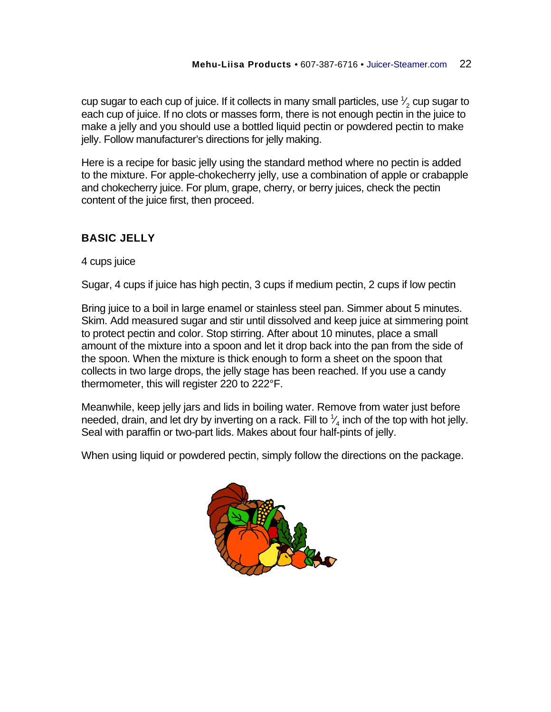cup sugar to each cup of juice. If it collects in many small particles, use  $\frac{1}{2}$  cup sugar to ⁄ each cup of juice. If no clots or masses form, there is not enough pectin in the juice to make a jelly and you should use a bottled liquid pectin or powdered pectin to make jelly. Follow manufacturer's directions for jelly making.

Here is a recipe for basic jelly using the standard method where no pectin is added to the mixture. For apple-chokecherry jelly, use a combination of apple or crabapple and chokecherry juice. For plum, grape, cherry, or berry juices, check the pectin content of the juice first, then proceed.

# **BASIC JELLY**

4 cups juice

Sugar, 4 cups if juice has high pectin, 3 cups if medium pectin, 2 cups if low pectin

Bring juice to a boil in large enamel or stainless steel pan. Simmer about 5 minutes. Skim. Add measured sugar and stir until dissolved and keep juice at simmering point to protect pectin and color. Stop stirring. After about 10 minutes, place a small amount of the mixture into a spoon and let it drop back into the pan from the side of the spoon. When the mixture is thick enough to form a sheet on the spoon that collects in two large drops, the jelly stage has been reached. If you use a candy thermometer, this will register 220 to 222°F.

Meanwhile, keep jelly jars and lids in boiling water. Remove from water just before needed, drain, and let dry by inverting on a rack. Fill to  $\frac{1}{4}$  inch of the top with hot jelly. ⁄ Seal with paraffin or two-part lids. Makes about four half-pints of jelly.

When using liquid or powdered pectin, simply follow the directions on the package.

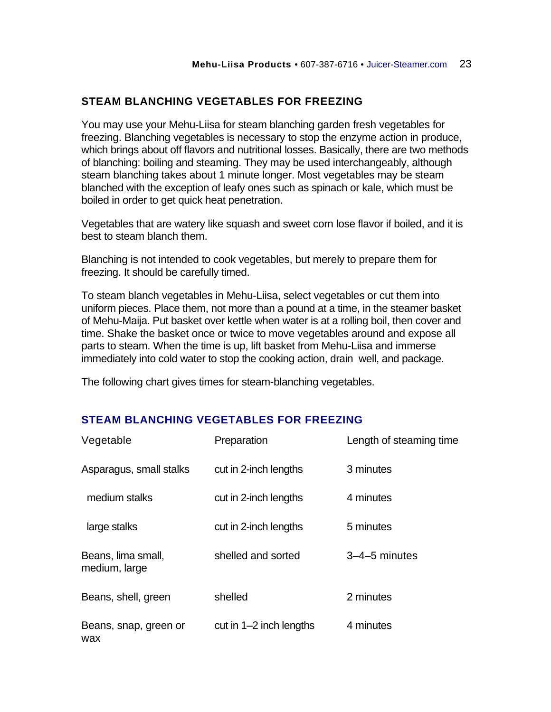## **STEAM BLANCHING VEGETABLES FOR FREEZING**

You may use your Mehu-Liisa for steam blanching garden fresh vegetables for freezing. Blanching vegetables is necessary to stop the enzyme action in produce, which brings about off flavors and nutritional losses. Basically, there are two methods of blanching: boiling and steaming. They may be used interchangeably, although steam blanching takes about 1 minute longer. Most vegetables may be steam blanched with the exception of leafy ones such as spinach or kale, which must be boiled in order to get quick heat penetration.

Vegetables that are watery like squash and sweet corn lose flavor if boiled, and it is best to steam blanch them.

Blanching is not intended to cook vegetables, but merely to prepare them for freezing. It should be carefully timed.

To steam blanch vegetables in Mehu-Liisa, select vegetables or cut them into uniform pieces. Place them, not more than a pound at a time, in the steamer basket of Mehu-Maija. Put basket over kettle when water is at a rolling boil, then cover and time. Shake the basket once or twice to move vegetables around and expose all parts to steam. When the time is up, lift basket from Mehu-Liisa and immerse immediately into cold water to stop the cooking action, drain well, and package.

The following chart gives times for steam-blanching vegetables.

### **STEAM BLANCHING VEGETABLES FOR FREEZING**

| Vegetable                           | Preparation               | Length of steaming time |
|-------------------------------------|---------------------------|-------------------------|
| Asparagus, small stalks             | cut in 2-inch lengths     | 3 minutes               |
| medium stalks                       | cut in 2-inch lengths     | 4 minutes               |
| large stalks                        | cut in 2-inch lengths     | 5 minutes               |
| Beans, lima small,<br>medium, large | shelled and sorted        | $3-4-5$ minutes         |
| Beans, shell, green                 | shelled                   | 2 minutes               |
| Beans, snap, green or<br>wax        | cut in $1-2$ inch lengths | 4 minutes               |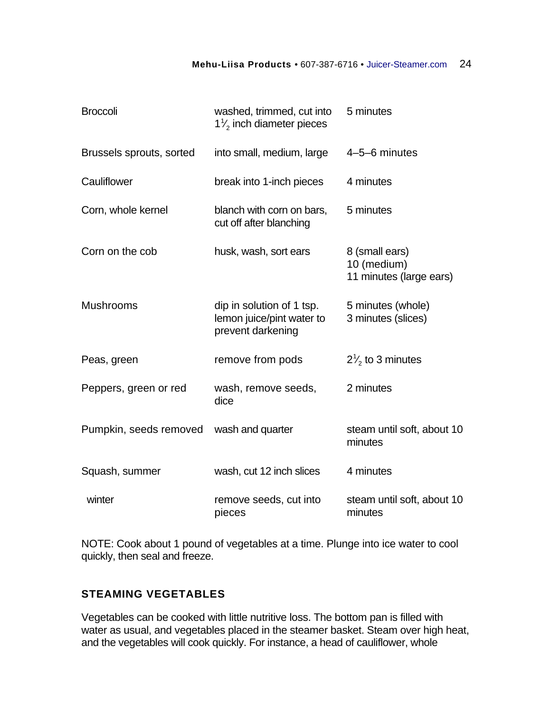#### **Mehu-Liisa Products** • 607-387-6716 • Juicer-Steamer.com 24

| <b>Broccoli</b>          | washed, trimmed, cut into<br>$1\frac{7}{2}$ inch diameter pieces            | 5 minutes                                                |
|--------------------------|-----------------------------------------------------------------------------|----------------------------------------------------------|
| Brussels sprouts, sorted | into small, medium, large                                                   | 4-5-6 minutes                                            |
| Cauliflower              | break into 1-inch pieces                                                    | 4 minutes                                                |
| Corn, whole kernel       | blanch with corn on bars,<br>cut off after blanching                        | 5 minutes                                                |
| Corn on the cob          | husk, wash, sort ears                                                       | 8 (small ears)<br>10 (medium)<br>11 minutes (large ears) |
| <b>Mushrooms</b>         | dip in solution of 1 tsp.<br>lemon juice/pint water to<br>prevent darkening | 5 minutes (whole)<br>3 minutes (slices)                  |
| Peas, green              | remove from pods                                                            | $2\frac{1}{2}$ to 3 minutes                              |
| Peppers, green or red    | wash, remove seeds,<br>dice                                                 | 2 minutes                                                |
| Pumpkin, seeds removed   | wash and quarter                                                            | steam until soft, about 10<br>minutes                    |
| Squash, summer           | wash, cut 12 inch slices                                                    | 4 minutes                                                |
| winter                   | remove seeds, cut into<br>pieces                                            | steam until soft, about 10<br>minutes                    |

NOTE: Cook about 1 pound of vegetables at a time. Plunge into ice water to cool quickly, then seal and freeze.

# **STEAMING VEGETABLES**

Vegetables can be cooked with little nutritive loss. The bottom pan is filled with water as usual, and vegetables placed in the steamer basket. Steam over high heat, and the vegetables will cook quickly. For instance, a head of cauliflower, whole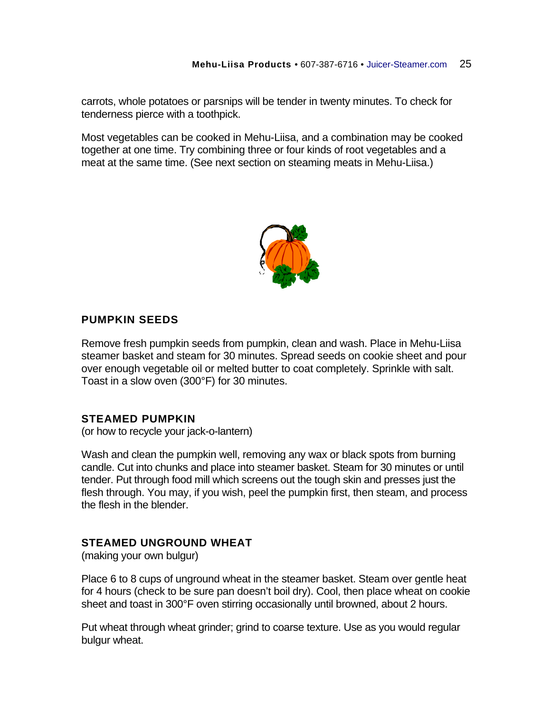carrots, whole potatoes or parsnips will be tender in twenty minutes. To check for tenderness pierce with a toothpick.

Most vegetables can be cooked in Mehu-Liisa, and a combination may be cooked together at one time. Try combining three or four kinds of root vegetables and a meat at the same time. (See next section on steaming meats in Mehu-Liisa.)



## **PUMPKIN SEEDS**

Remove fresh pumpkin seeds from pumpkin, clean and wash. Place in Mehu-Liisa steamer basket and steam for 30 minutes. Spread seeds on cookie sheet and pour over enough vegetable oil or melted butter to coat completely. Sprinkle with salt. Toast in a slow oven (300°F) for 30 minutes.

### **STEAMED PUMPKIN**

(or how to recycle your jack-o-lantern)

Wash and clean the pumpkin well, removing any wax or black spots from burning candle. Cut into chunks and place into steamer basket. Steam for 30 minutes or until tender. Put through food mill which screens out the tough skin and presses just the flesh through. You may, if you wish, peel the pumpkin first, then steam, and process the flesh in the blender.

## **STEAMED UNGROUND WHEAT**

(making your own bulgur)

Place 6 to 8 cups of unground wheat in the steamer basket. Steam over gentle heat for 4 hours (check to be sure pan doesn't boil dry). Cool, then place wheat on cookie sheet and toast in 300°F oven stirring occasionally until browned, about 2 hours.

Put wheat through wheat grinder; grind to coarse texture. Use as you would regular bulgur wheat.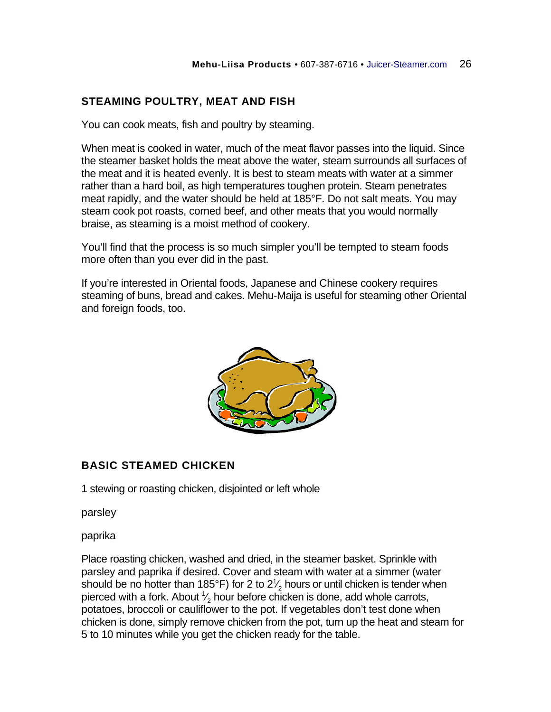# **STEAMING POULTRY, MEAT AND FISH**

You can cook meats, fish and poultry by steaming.

When meat is cooked in water, much of the meat flavor passes into the liquid. Since the steamer basket holds the meat above the water, steam surrounds all surfaces of the meat and it is heated evenly. It is best to steam meats with water at a simmer rather than a hard boil, as high temperatures toughen protein. Steam penetrates meat rapidly, and the water should be held at 185°F. Do not salt meats. You may steam cook pot roasts, corned beef, and other meats that you would normally braise, as steaming is a moist method of cookery.

You'll find that the process is so much simpler you'll be tempted to steam foods more often than you ever did in the past.

If you're interested in Oriental foods, Japanese and Chinese cookery requires steaming of buns, bread and cakes. Mehu-Maija is useful for steaming other Oriental and foreign foods, too.



## **BASIC STEAMED CHICKEN**

1 stewing or roasting chicken, disjointed or left whole

parsley

paprika

Place roasting chicken, washed and dried, in the steamer basket. Sprinkle with parsley and paprika if desired. Cover and steam with water at a simmer (water should be no hotter than 185°F) for 2 to 2 $\frac{1}{2}$  hours or until chicken is tender when ⁄ pierced with a fork. About  $\frac{1}{2}$  hour before chicken is done, add whole carrots, ⁄ potatoes, broccoli or cauliflower to the pot. If vegetables don't test done when chicken is done, simply remove chicken from the pot, turn up the heat and steam for 5 to 10 minutes while you get the chicken ready for the table.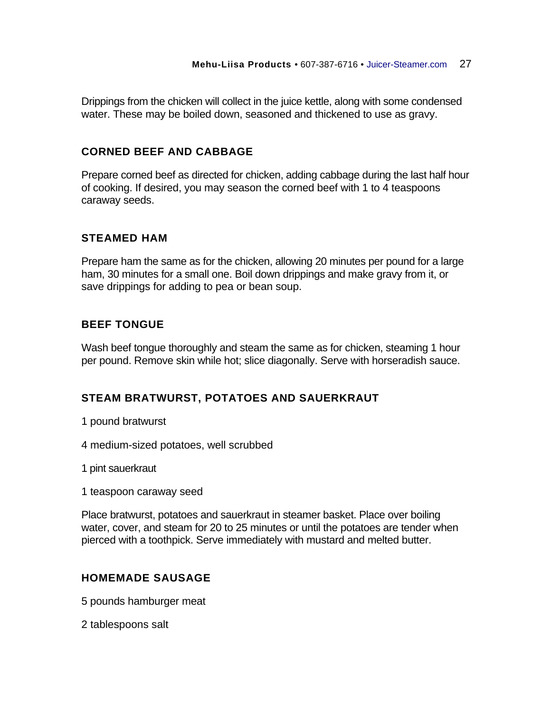Drippings from the chicken will collect in the juice kettle, along with some condensed water. These may be boiled down, seasoned and thickened to use as gravy.

## **CORNED BEEF AND CABBAGE**

Prepare corned beef as directed for chicken, adding cabbage during the last half hour of cooking. If desired, you may season the corned beef with 1 to 4 teaspoons caraway seeds.

### **STEAMED HAM**

Prepare ham the same as for the chicken, allowing 20 minutes per pound for a large ham, 30 minutes for a small one. Boil down drippings and make gravy from it, or save drippings for adding to pea or bean soup.

## **BEEF TONGUE**

Wash beef tongue thoroughly and steam the same as for chicken, steaming 1 hour per pound. Remove skin while hot; slice diagonally. Serve with horseradish sauce.

## **STEAM BRATWURST, POTATOES AND SAUERKRAUT**

- 1 pound bratwurst
- 4 medium-sized potatoes, well scrubbed
- 1 pint sauerkraut
- 1 teaspoon caraway seed

Place bratwurst, potatoes and sauerkraut in steamer basket. Place over boiling water, cover, and steam for 20 to 25 minutes or until the potatoes are tender when pierced with a toothpick. Serve immediately with mustard and melted butter.

### **HOMEMADE SAUSAGE**

5 pounds hamburger meat

2 tablespoons salt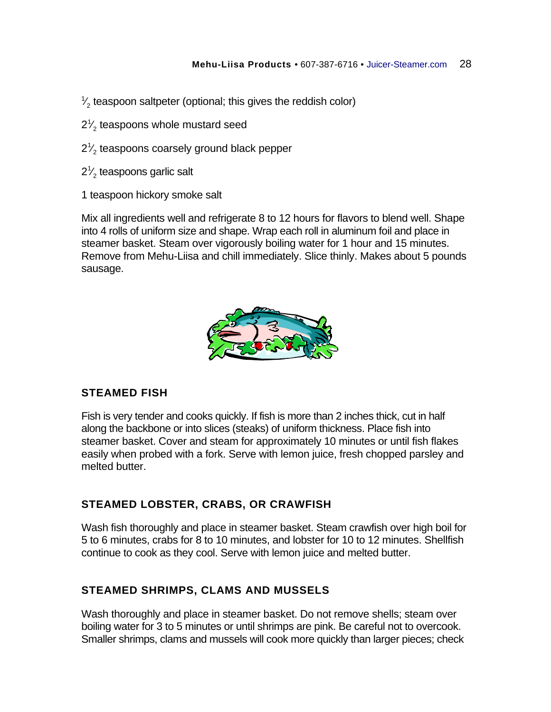1 ⁄  $\gamma_{2}'$  teaspoon saltpeter (optional; this gives the reddish color)

- $2<sup>1</sup>$ ⁄  $\zeta_{\rm z}$  teaspoons whole mustard seed
- $2<sup>1</sup>$ ⁄  $\gamma_{2}'$  teaspoons coarsely ground black pepper
- $2<sup>1</sup>$ ⁄  $\rm{^{\prime}_2}$  teaspoons garlic salt
- 1 teaspoon hickory smoke salt

Mix all ingredients well and refrigerate 8 to 12 hours for flavors to blend well. Shape into 4 rolls of uniform size and shape. Wrap each roll in aluminum foil and place in steamer basket. Steam over vigorously boiling water for 1 hour and 15 minutes. Remove from Mehu-Liisa and chill immediately. Slice thinly. Makes about 5 pounds sausage.



## **STEAMED FISH**

Fish is very tender and cooks quickly. If fish is more than 2 inches thick, cut in half along the backbone or into slices (steaks) of uniform thickness. Place fish into steamer basket. Cover and steam for approximately 10 minutes or until fish flakes easily when probed with a fork. Serve with lemon juice, fresh chopped parsley and melted butter.

### **STEAMED LOBSTER, CRABS, OR CRAWFISH**

Wash fish thoroughly and place in steamer basket. Steam crawfish over high boil for 5 to 6 minutes, crabs for 8 to 10 minutes, and lobster for 10 to 12 minutes. Shellfish continue to cook as they cool. Serve with lemon juice and melted butter.

## **STEAMED SHRIMPS, CLAMS AND MUSSELS**

Wash thoroughly and place in steamer basket. Do not remove shells; steam over boiling water for 3 to 5 minutes or until shrimps are pink. Be careful not to overcook. Smaller shrimps, clams and mussels will cook more quickly than larger pieces; check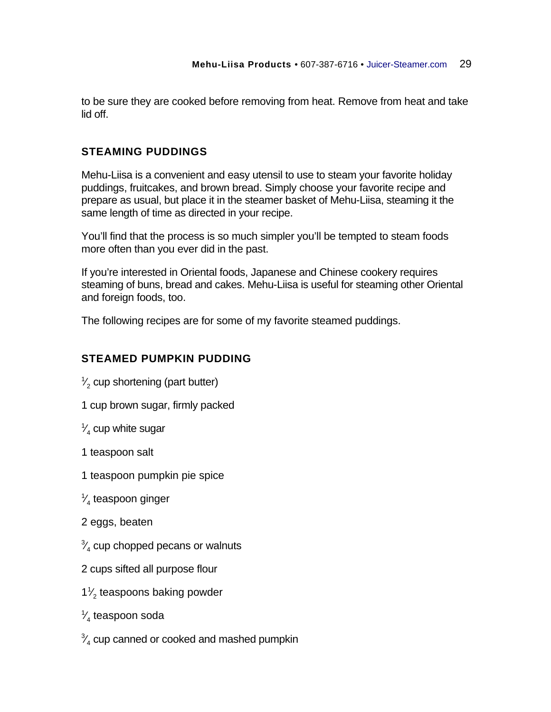to be sure they are cooked before removing from heat. Remove from heat and take lid off.

## **STEAMING PUDDINGS**

Mehu-Liisa is a convenient and easy utensil to use to steam your favorite holiday puddings, fruitcakes, and brown bread. Simply choose your favorite recipe and prepare as usual, but place it in the steamer basket of Mehu-Liisa, steaming it the same length of time as directed in your recipe.

You'll find that the process is so much simpler you'll be tempted to steam foods more often than you ever did in the past.

If you're interested in Oriental foods, Japanese and Chinese cookery requires steaming of buns, bread and cakes. Mehu-Liisa is useful for steaming other Oriental and foreign foods, too.

The following recipes are for some of my favorite steamed puddings.

## **STEAMED PUMPKIN PUDDING**

1 ⁄  $\gamma_{2}'$  cup shortening (part butter)

1 cup brown sugar, firmly packed

1 ⁄  $\frac{\sqrt{4}}{4}$  cup white sugar

1 teaspoon salt

1 teaspoon pumpkin pie spice

1 ⁄  $\mathrm{^{\prime}_{4}}$  teaspoon ginger

2 eggs, beaten

3 ⁄  $\frac{\sqrt{4}}{4}$  cup chopped pecans or walnuts

2 cups sifted all purpose flour

1 1 2 teaspoons baking powder ⁄

1 ⁄  $_{\rm 4}^{\prime}$  teaspoon soda

3 ⁄  $\frac{\sqrt{4}}{4}$  cup canned or cooked and mashed pumpkin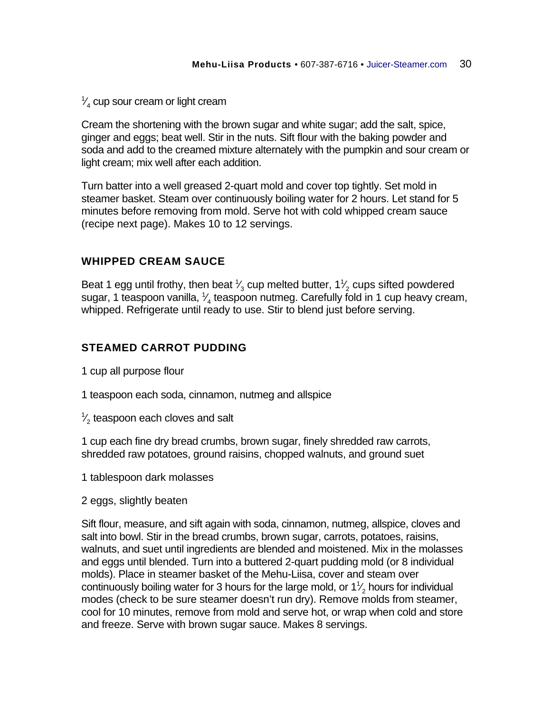1 ⁄  $\frac{\sqrt{4}}{4}$  cup sour cream or light cream

Cream the shortening with the brown sugar and white sugar; add the salt, spice, ginger and eggs; beat well. Stir in the nuts. Sift flour with the baking powder and soda and add to the creamed mixture alternately with the pumpkin and sour cream or light cream; mix well after each addition.

Turn batter into a well greased 2-quart mold and cover top tightly. Set mold in steamer basket. Steam over continuously boiling water for 2 hours. Let stand for 5 minutes before removing from mold. Serve hot with cold whipped cream sauce (recipe next page). Makes 10 to 12 servings.

## **WHIPPED CREAM SAUCE**

Beat 1 egg until frothy, then beat  $\frac{1}{3}$  cup melted butter, 1 $\frac{1}{2}$  cups sifted powdered ⁄ ⁄ sugar, 1 teaspoon vanilla,  $\frac{1}{4}$  teaspoon nutmeg. Carefully fold in 1 cup heavy cream, ⁄ whipped. Refrigerate until ready to use. Stir to blend just before serving.

## **STEAMED CARROT PUDDING**

1 cup all purpose flour

- 1 teaspoon each soda, cinnamon, nutmeg and allspice
- 1 ⁄  $\gamma_{2}'$  teaspoon each cloves and salt

1 cup each fine dry bread crumbs, brown sugar, finely shredded raw carrots, shredded raw potatoes, ground raisins, chopped walnuts, and ground suet

1 tablespoon dark molasses

2 eggs, slightly beaten

Sift flour, measure, and sift again with soda, cinnamon, nutmeg, allspice, cloves and salt into bowl. Stir in the bread crumbs, brown sugar, carrots, potatoes, raisins, walnuts, and suet until ingredients are blended and moistened. Mix in the molasses and eggs until blended. Turn into a buttered 2-quart pudding mold (or 8 individual molds). Place in steamer basket of the Mehu-Liisa, cover and steam over continuously boiling water for 3 hours for the large mold, or  $1\frac{1}{2}$  hours for individual ⁄ modes (check to be sure steamer doesn't run dry). Remove molds from steamer, cool for 10 minutes, remove from mold and serve hot, or wrap when cold and store and freeze. Serve with brown sugar sauce. Makes 8 servings.